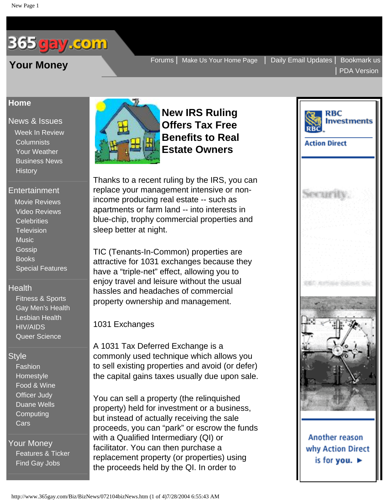# <span id="page-0-0"></span>365 <mark>gay .com</mark>

## **[Home](http://www.365gay.com/)**

[News & Issues](http://www.365gay.com/newschannel/newschannel.htm) [Week In Review](http://www.365gay.com/newschannel/NewsChannel.htm) **[Columnists](http://www.365gay.com/opinion/Index.htm)**  [Your Weather](http://www.365gay.com/Weather/Weather.htm) [Business News](http://www.365gay.com/Biz/BizChannel.htm) **[History](http://www.365gay.com/lifestylechannel/intime/Index.htm)** 

## [Entertainment](http://www.365gay.com/entertainment/entertainmentchannel.htm)

 [Movie Reviews](http://www.365gay.com/entertainment/screen/Screen.htm)  [Video Reviews](http://www.365gay.com/entertainment/video/Video.htm) **[Celebrities](http://www.365gay.com/entertainment/feature/Feature.htm) [Television](http://www.365gay.com/entertainment/tv/TV.htm) [Music](http://www.365gay.com/entertainment/MusicChannel/Musicchannel.htm)**  [Gossip](http://www.365gay.com/entertainment/News&Gossip/NGoz.htm) [Books](http://www.365gay.com/entertainment/books/Books.htm) [Special Features](http://www.365gay.com/entertainment/Special/Special.htm)

## **[Health](http://www.365gay.com/../health/healthchannel.htm)**

 [Fitness & Sports](http://www.365gay.com/../health/fitness/fitness.htm) [Gay Men's Health](http://www.365gay.com/../health/health/health.htm) [Lesbian Health](http://www.365gay.com/../health/lesbianhealth/lesbhealth.htm) [HIV/AIDS](http://www.365gay.com/../health/life/life.htm) [Queer Science](http://www.365gay.com/../health/tech/tech.htm)

## **Style**

 [Fashion](http://www.365gay.com/lifestylechannel/fashionstyle/fashion.htm)  [Homestyle](http://www.365gay.com/lifestylechannel/Homestyle/Homes.htm)  [Food & Wine](http://www.365gay.com/lifestylechannel/food/food.htm)  [Officer Judy](http://www.365gay.com/lifestylechannel/Judy/judy.htm) [Duane Wells](http://www.365gay.com/lifestylechannel/Wells/wells.htm) [Computing](http://www.365gay.com/lifestylechannel/computing/computing.htm) [Cars](http://www.365gay.com/lifestylechannel/Cars/cars.htm)

[Your Money](http://www.365gay.com/Biz/bizchannel.htm) [Features & Ticker](http://www.365gay.com/Biz/bizchannel.htm) [Find Gay Jobs](http://www.365gay.com/GayJobs/GayJobsChannel.htm)



**New IRS Ruling Offers Tax Free Benefits to Real Estate Owners**

Thanks to a recent ruling by the IRS, you can replace your management intensive or nonincome producing real estate -- such as apartments or farm land -- into interests in blue-chip, trophy commercial properties and sleep better at night.

TIC (Tenants-In-Common) properties are attractive for 1031 exchanges because they have a "triple-net" effect, allowing you to enjoy travel and leisure without the usual hassles and headaches of commercial property ownership and management.

1031 Exchanges

A 1031 Tax Deferred Exchange is a commonly used technique which allows you to sell existing properties and avoid (or defer) the capital gains taxes usually due upon sale.

You can sell a property (the relinquished property) held for investment or a business, but instead of actually receiving the sale proceeds, you can "park" or escrow the funds with a Qualified Intermediary (QI) or facilitator. You can then purchase a replacement property (or properties) using the proceeds held by the QI. In order to

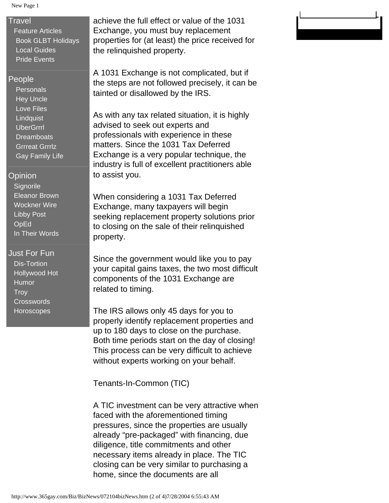### New Page 1

## **[Travel](http://www.365gay.com/travel/travelchannel.htm)**

 [Feature Articles](http://www.365gay.com/travel/travelchannel.htm)  [Book GLBT Holidays](http://www.365gay.com/travel/travelchannel.htm) [Local Guides](http://www.365gay.com/community/others/community.htm)  [Pride Events](http://www.365gay.com/community/others/Pride.htm)

## [People](http://www.365gay.com/people/People.htm)

**Personals**  [Hey Uncle](http://www.365gay.com/people/Uncle/Swan.htm)  [Love Files](http://www.365gay.com/people/LoveFiles/Lovefiles.htm)  [Lindquist](http://www.365gay.com/people/Lindquist/lindquist.htm) **[UberGrrrl](http://www.365gay.com/people/Turner/Turner.htm) Dreamboats**  [Grrreat Grrrlz](http://www.365gay.com/people/Member/GrrreatGirlz.htm) [Gay Family Life](http://www.365gay.com/Parenting/ParentingChannel.htm)

## [Opinion](http://www.365gay.com/opinion/Index.htm)

**Signorile**  [Eleanor Brown](http://www.365gay.com/opinion/Eleanor/Eleanor.htm) [Wockner Wire](http://www.365gay.com/opinion/wocknerWire/wocknerWire.htm)  [Libby Post](http://www.365gay.com/opinion/Libby/Libby.htm) **OpEd** [In Their Words](http://www.365gay.com/opinion/Releases/Releases.htm)

## [Just For Fun](http://www.365gay.com/Fun/Fun.htm)

 [Dis-Tortion](http://www.365gay.com/Fun/Fun.htm)  [Hollywood Hot](http://www.365gay.com/Fun/Fun.htm) **Humor Troy Crosswords [Horoscopes](http://365gay.com/Fun/horoscope.htm)** 

achieve the full effect or value of the 1031 Exchange, you must buy replacement properties for (at least) the price received for the relinquished property.

A 1031 Exchange is not complicated, but if the steps are not followed precisely, it can be tainted or disallowed by the IRS.

As with any tax related situation, it is highly advised to seek out experts and professionals with experience in these matters. Since the 1031 Tax Deferred Exchange is a very popular technique, the industry is full of excellent practitioners able to assist you.

When considering a 1031 Tax Deferred Exchange, many taxpayers will begin seeking replacement property solutions prior to closing on the sale of their relinquished property.

Since the government would like you to pay your capital gains taxes, the two most difficult components of the 1031 Exchange are related to timing.

The IRS allows only 45 days for you to properly identify replacement properties and up to 180 days to close on the purchase. Both time periods start on the day of closing! This process can be very difficult to achieve without experts working on your behalf.

Tenants-In-Common (TIC)

A TIC investment can be very attractive when faced with the aforementioned timing pressures, since the properties are usually already "pre-packaged" with financing, due diligence, title commitments and other necessary items already in place. The TIC closing can be very similar to purchasing a home, since the documents are all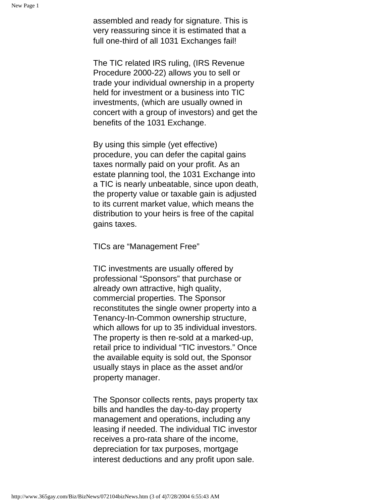assembled and ready for signature. This is very reassuring since it is estimated that a full one-third of all 1031 Exchanges fail!

The TIC related IRS ruling, (IRS Revenue Procedure 2000-22) allows you to sell or trade your individual ownership in a property held for investment or a business into TIC investments, (which are usually owned in concert with a group of investors) and get the benefits of the 1031 Exchange.

By using this simple (yet effective) procedure, you can defer the capital gains taxes normally paid on your profit. As an estate planning tool, the 1031 Exchange into a TIC is nearly unbeatable, since upon death, the property value or taxable gain is adjusted to its current market value, which means the distribution to your heirs is free of the capital gains taxes.

TICs are "Management Free"

TIC investments are usually offered by professional "Sponsors" that purchase or already own attractive, high quality, commercial properties. The Sponsor reconstitutes the single owner property into a Tenancy-In-Common ownership structure, which allows for up to 35 individual investors. The property is then re-sold at a marked-up, retail price to individual "TIC investors." Once the available equity is sold out, the Sponsor usually stays in place as the asset and/or property manager.

The Sponsor collects rents, pays property tax bills and handles the day-to-day property management and operations, including any leasing if needed. The individual TIC investor receives a pro-rata share of the income, depreciation for tax purposes, mortgage interest deductions and any profit upon sale.